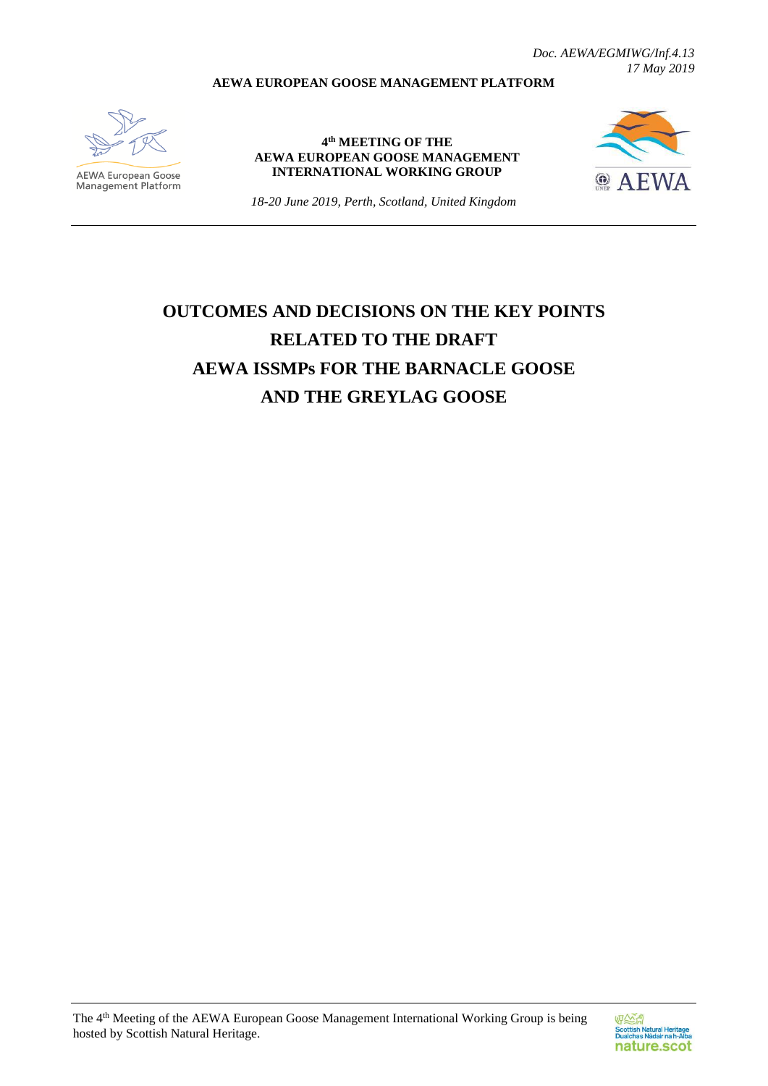*Doc. AEWA/EGMIWG/Inf.4.13 17 May 2019*

#### **AEWA EUROPEAN GOOSE MANAGEMENT PLATFORM**



**AEWA European Goose**<br>Management Platform

**4 th MEETING OF THE AEWA EUROPEAN GOOSE MANAGEMENT INTERNATIONAL WORKING GROUP**



*18-20 June 2019, Perth, Scotland, United Kingdom*

# **OUTCOMES AND DECISIONS ON THE KEY POINTS RELATED TO THE DRAFT AEWA ISSMPs FOR THE BARNACLE GOOSE AND THE GREYLAG GOOSE**

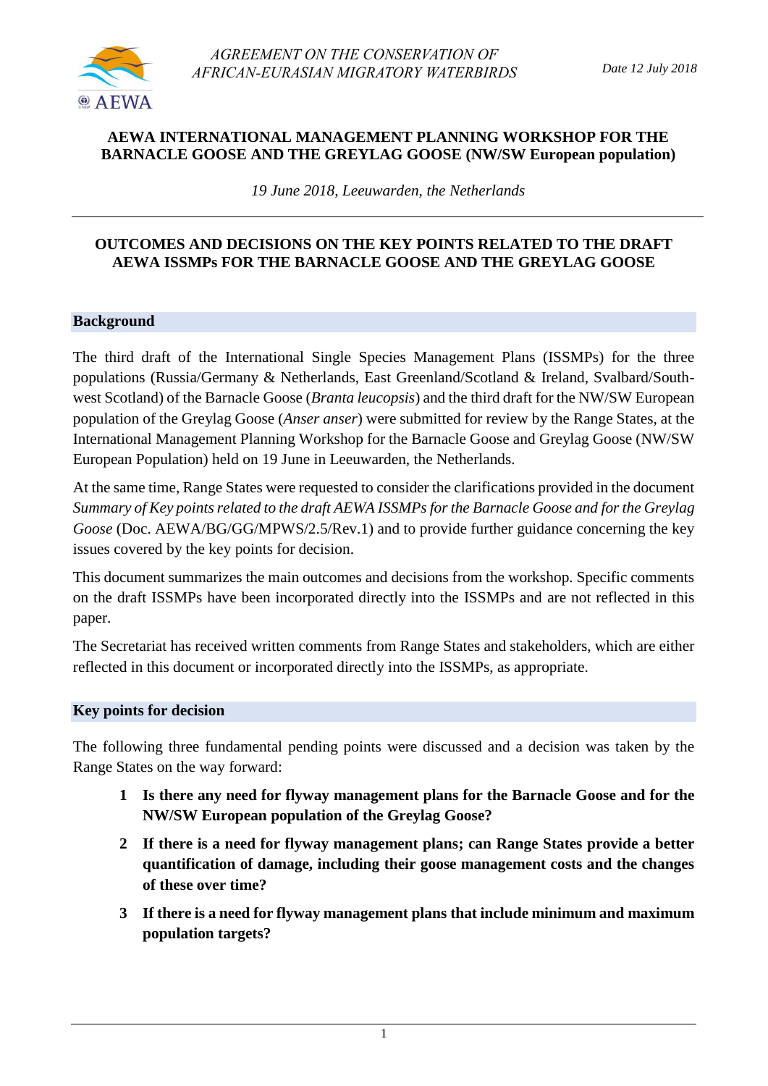

## **AEWA INTERNATIONAL MANAGEMENT PLANNING WORKSHOP FOR THE BARNACLE GOOSE AND THE GREYLAG GOOSE (NW/SW European population)**

*19 June 2018, Leeuwarden, the Netherlands*

#### **OUTCOMES AND DECISIONS ON THE KEY POINTS RELATED TO THE DRAFT AEWA ISSMPs FOR THE BARNACLE GOOSE AND THE GREYLAG GOOSE**

#### **Background**

The third draft of the International Single Species Management Plans (ISSMPs) for the three populations (Russia/Germany & Netherlands, East Greenland/Scotland & Ireland, Svalbard/Southwest Scotland) of the Barnacle Goose (*Branta leucopsis*) and the third draft for the NW/SW European population of the Greylag Goose (*Anser anser*) were submitted for review by the Range States, at the International Management Planning Workshop for the Barnacle Goose and Greylag Goose (NW/SW European Population) held on 19 June in Leeuwarden, the Netherlands.

At the same time, Range States were requested to consider the clarifications provided in the document *Summary of Key points related to the draft AEWA ISSMPs for the Barnacle Goose and for the Greylag Goose* (Doc. AEWA/BG/GG/MPWS/2.5/Rev.1) and to provide further guidance concerning the key issues covered by the key points for decision.

This document summarizes the main outcomes and decisions from the workshop. Specific comments on the draft ISSMPs have been incorporated directly into the ISSMPs and are not reflected in this paper.

The Secretariat has received written comments from Range States and stakeholders, which are either reflected in this document or incorporated directly into the ISSMPs, as appropriate.

#### **Key points for decision**

The following three fundamental pending points were discussed and a decision was taken by the Range States on the way forward:

- **1 Is there any need for flyway management plans for the Barnacle Goose and for the NW/SW European population of the Greylag Goose?**
- **2 If there is a need for flyway management plans; can Range States provide a better quantification of damage, including their goose management costs and the changes of these over time?**
- **3 If there is a need for flyway management plans that include minimum and maximum population targets?**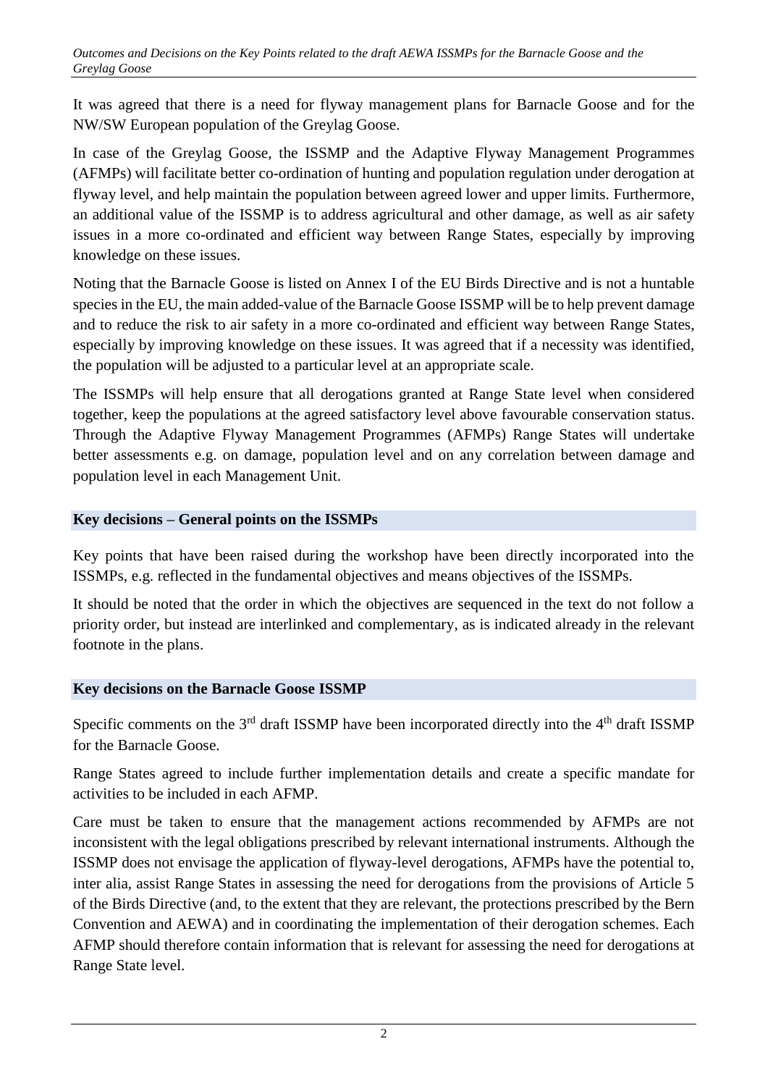It was agreed that there is a need for flyway management plans for Barnacle Goose and for the NW/SW European population of the Greylag Goose.

In case of the Greylag Goose, the ISSMP and the Adaptive Flyway Management Programmes (AFMPs) will facilitate better co-ordination of hunting and population regulation under derogation at flyway level, and help maintain the population between agreed lower and upper limits. Furthermore, an additional value of the ISSMP is to address agricultural and other damage, as well as air safety issues in a more co-ordinated and efficient way between Range States, especially by improving knowledge on these issues.

Noting that the Barnacle Goose is listed on Annex I of the EU Birds Directive and is not a huntable species in the EU, the main added-value of the Barnacle Goose ISSMP will be to help prevent damage and to reduce the risk to air safety in a more co-ordinated and efficient way between Range States, especially by improving knowledge on these issues. It was agreed that if a necessity was identified, the population will be adjusted to a particular level at an appropriate scale.

The ISSMPs will help ensure that all derogations granted at Range State level when considered together, keep the populations at the agreed satisfactory level above favourable conservation status. Through the Adaptive Flyway Management Programmes (AFMPs) Range States will undertake better assessments e.g. on damage, population level and on any correlation between damage and population level in each Management Unit.

## **Key decisions – General points on the ISSMPs**

Key points that have been raised during the workshop have been directly incorporated into the ISSMPs, e.g. reflected in the fundamental objectives and means objectives of the ISSMPs.

It should be noted that the order in which the objectives are sequenced in the text do not follow a priority order, but instead are interlinked and complementary, as is indicated already in the relevant footnote in the plans.

## **Key decisions on the Barnacle Goose ISSMP**

Specific comments on the  $3<sup>rd</sup>$  draft ISSMP have been incorporated directly into the  $4<sup>th</sup>$  draft ISSMP for the Barnacle Goose.

Range States agreed to include further implementation details and create a specific mandate for activities to be included in each AFMP.

Care must be taken to ensure that the management actions recommended by AFMPs are not inconsistent with the legal obligations prescribed by relevant international instruments. Although the ISSMP does not envisage the application of flyway-level derogations, AFMPs have the potential to, inter alia, assist Range States in assessing the need for derogations from the provisions of Article 5 of the Birds Directive (and, to the extent that they are relevant, the protections prescribed by the Bern Convention and AEWA) and in coordinating the implementation of their derogation schemes. Each AFMP should therefore contain information that is relevant for assessing the need for derogations at Range State level.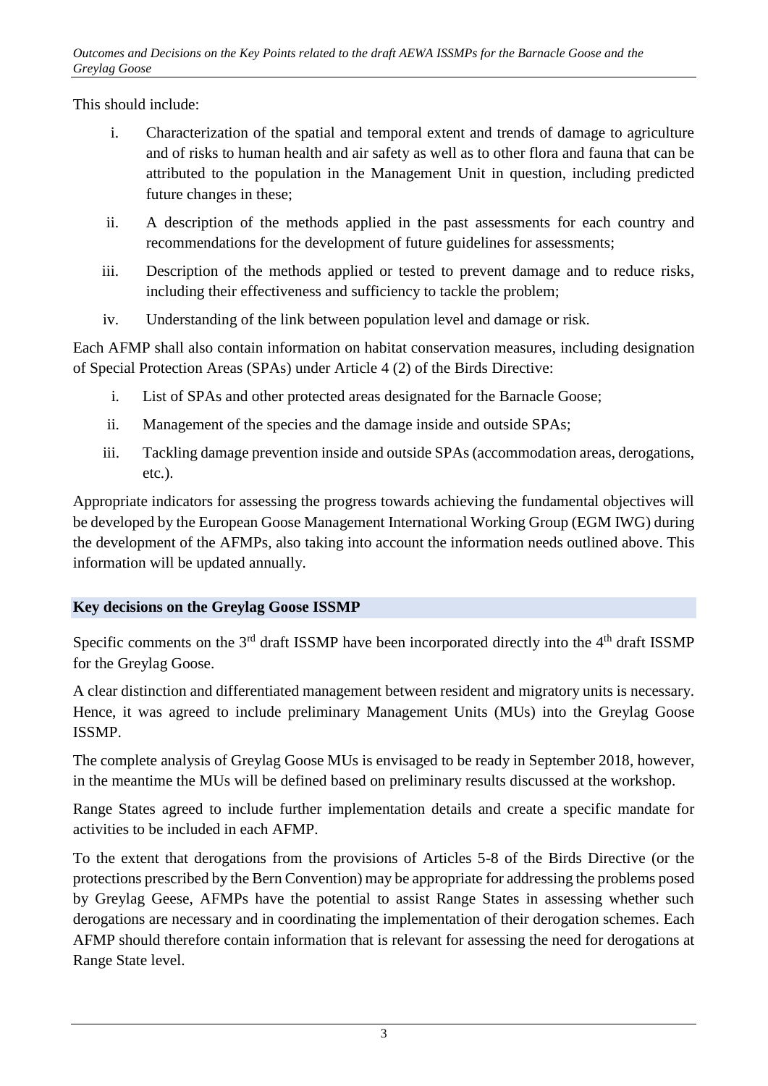This should include:

- i. Characterization of the spatial and temporal extent and trends of damage to agriculture and of risks to human health and air safety as well as to other flora and fauna that can be attributed to the population in the Management Unit in question, including predicted future changes in these;
- ii. A description of the methods applied in the past assessments for each country and recommendations for the development of future guidelines for assessments;
- iii. Description of the methods applied or tested to prevent damage and to reduce risks, including their effectiveness and sufficiency to tackle the problem;
- iv. Understanding of the link between population level and damage or risk.

Each AFMP shall also contain information on habitat conservation measures, including designation of Special Protection Areas (SPAs) under Article 4 (2) of the Birds Directive:

- i. List of SPAs and other protected areas designated for the Barnacle Goose;
- ii. Management of the species and the damage inside and outside SPAs;
- iii. Tackling damage prevention inside and outside SPAs (accommodation areas, derogations, etc.).

Appropriate indicators for assessing the progress towards achieving the fundamental objectives will be developed by the European Goose Management International Working Group (EGM IWG) during the development of the AFMPs, also taking into account the information needs outlined above. This information will be updated annually.

## **Key decisions on the Greylag Goose ISSMP**

Specific comments on the 3<sup>rd</sup> draft ISSMP have been incorporated directly into the 4<sup>th</sup> draft ISSMP for the Greylag Goose.

A clear distinction and differentiated management between resident and migratory units is necessary. Hence, it was agreed to include preliminary Management Units (MUs) into the Greylag Goose ISSMP.

The complete analysis of Greylag Goose MUs is envisaged to be ready in September 2018, however, in the meantime the MUs will be defined based on preliminary results discussed at the workshop.

Range States agreed to include further implementation details and create a specific mandate for activities to be included in each AFMP.

To the extent that derogations from the provisions of Articles 5-8 of the Birds Directive (or the protections prescribed by the Bern Convention) may be appropriate for addressing the problems posed by Greylag Geese, AFMPs have the potential to assist Range States in assessing whether such derogations are necessary and in coordinating the implementation of their derogation schemes. Each AFMP should therefore contain information that is relevant for assessing the need for derogations at Range State level.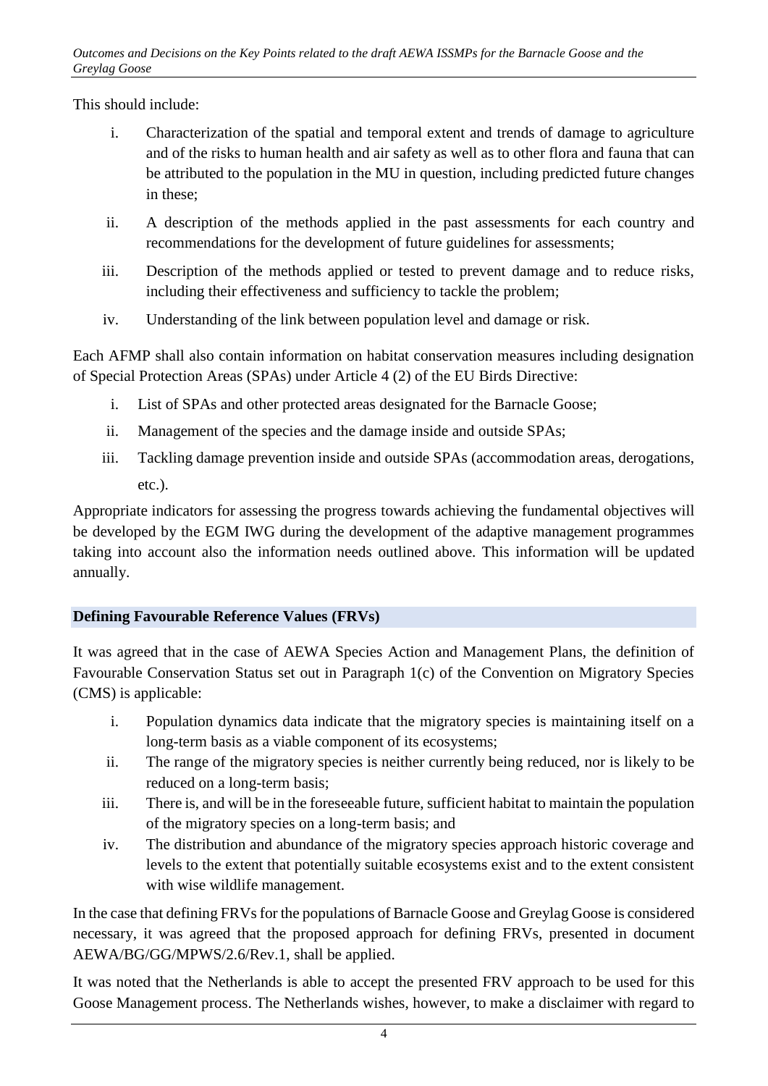This should include:

- i. Characterization of the spatial and temporal extent and trends of damage to agriculture and of the risks to human health and air safety as well as to other flora and fauna that can be attributed to the population in the MU in question, including predicted future changes in these;
- ii. A description of the methods applied in the past assessments for each country and recommendations for the development of future guidelines for assessments;
- iii. Description of the methods applied or tested to prevent damage and to reduce risks, including their effectiveness and sufficiency to tackle the problem;
- iv. Understanding of the link between population level and damage or risk.

Each AFMP shall also contain information on habitat conservation measures including designation of Special Protection Areas (SPAs) under Article 4 (2) of the EU Birds Directive:

- i. List of SPAs and other protected areas designated for the Barnacle Goose;
- ii. Management of the species and the damage inside and outside SPAs;
- iii. Tackling damage prevention inside and outside SPAs (accommodation areas, derogations, etc.).

Appropriate indicators for assessing the progress towards achieving the fundamental objectives will be developed by the EGM IWG during the development of the adaptive management programmes taking into account also the information needs outlined above. This information will be updated annually.

## **Defining Favourable Reference Values (FRVs)**

It was agreed that in the case of AEWA Species Action and Management Plans, the definition of Favourable Conservation Status set out in Paragraph 1(c) of the Convention on Migratory Species (CMS) is applicable:

- i. Population dynamics data indicate that the migratory species is maintaining itself on a long-term basis as a viable component of its ecosystems;
- ii. The range of the migratory species is neither currently being reduced, nor is likely to be reduced on a long-term basis;
- iii. There is, and will be in the foreseeable future, sufficient habitat to maintain the population of the migratory species on a long-term basis; and
- iv. The distribution and abundance of the migratory species approach historic coverage and levels to the extent that potentially suitable ecosystems exist and to the extent consistent with wise wildlife management.

In the case that defining FRVs for the populations of Barnacle Goose and Greylag Goose is considered necessary, it was agreed that the proposed approach for defining FRVs, presented in document AEWA/BG/GG/MPWS/2.6/Rev.1, shall be applied.

It was noted that the Netherlands is able to accept the presented FRV approach to be used for this Goose Management process. The Netherlands wishes, however, to make a disclaimer with regard to